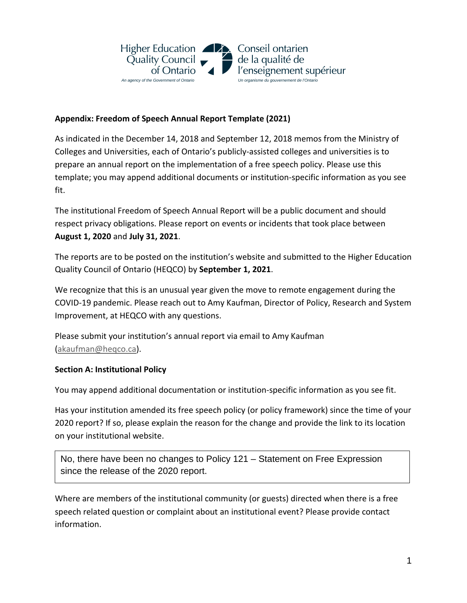

## **Appendix: Freedom of Speech Annual Report Template (2021)**

As indicated in the December 14, 2018 and September 12, 2018 memos from the Ministry of Colleges and Universities, each of Ontario's publicly-assisted colleges and universities is to prepare an annual report on the implementation of a free speech policy. Please use this template; you may append additional documents or institution-specific information as you see fit.

The institutional Freedom of Speech Annual Report will be a public document and should respect privacy obligations. Please report on events or incidents that took place between **August 1, 2020** and **July 31, 2021**.

The reports are to be posted on the institution's website and submitted to the Higher Education Quality Council of Ontario (HEQCO) by **September 1, 2021**.

We recognize that this is an unusual year given the move to remote engagement during the COVID-19 pandemic. Please reach out to Amy Kaufman, Director of Policy, Research and System Improvement, at HEQCO with any questions.

Please submit your institution's annual report via email to Amy Kaufman [\(akaufman@heqco.ca\)](about:blank).

## **Section A: Institutional Policy**

You may append additional documentation or institution-specific information as you see fit.

Has your institution amended its free speech policy (or policy framework) since the time of your 2020 report? If so, please explain the reason for the change and provide the link to its location on your institutional website.

No, there have been no changes to Policy 121 – Statement on Free Expression since the release of the 2020 report.

Where are members of the institutional community (or guests) directed when there is a free speech related question or complaint about an institutional event? Please provide contact information.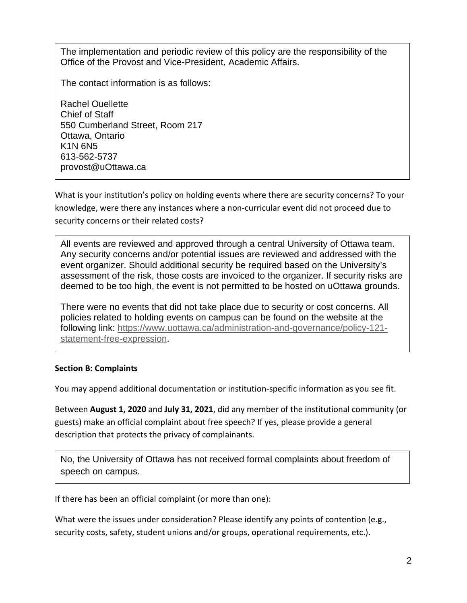The implementation and periodic review of this policy are the responsibility of the Office of the Provost and Vice-President, Academic Affairs.

The contact information is as follows:

Rachel Ouellette Chief of Staff 550 Cumberland Street, Room 217 Ottawa, Ontario K1N 6N5 613-562-5737 provost@uOttawa.ca

What is your institution's policy on holding events where there are security concerns? To your knowledge, were there any instances where a non-curricular event did not proceed due to security concerns or their related costs?

All events are reviewed and approved through a central University of Ottawa team. Any security concerns and/or potential issues are reviewed and addressed with the event organizer. Should additional security be required based on the University's assessment of the risk, those costs are invoiced to the organizer. If security risks are deemed to be too high, the event is not permitted to be hosted on uOttawa grounds.

There were no events that did not take place due to security or cost concerns. All policies related to holding events on campus can be found on the website at the following link: https://www.uottawa.ca/administration-and-governance/policy-121 statement-free-expression.

## **Section B: Complaints**

You may append additional documentation or institution-specific information as you see fit.

Between **August 1, 2020** and **July 31, 2021**, did any member of the institutional community (or guests) make an official complaint about free speech? If yes, please provide a general description that protects the privacy of complainants.

No, the University of Ottawa has not received formal complaints about freedom of speech on campus.

If there has been an official complaint (or more than one):

What were the issues under consideration? Please identify any points of contention (e.g., security costs, safety, student unions and/or groups, operational requirements, etc.).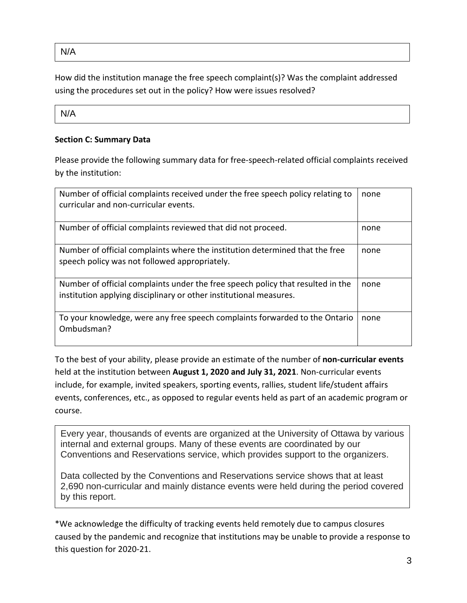N/A

How did the institution manage the free speech complaint(s)? Was the complaint addressed using the procedures set out in the policy? How were issues resolved?

N/A

## **Section C: Summary Data**

Please provide the following summary data for free-speech-related official complaints received by the institution:

| Number of official complaints received under the free speech policy relating to<br>curricular and non-curricular events.                              | none |
|-------------------------------------------------------------------------------------------------------------------------------------------------------|------|
| Number of official complaints reviewed that did not proceed.                                                                                          | none |
| Number of official complaints where the institution determined that the free<br>speech policy was not followed appropriately.                         | none |
| Number of official complaints under the free speech policy that resulted in the<br>institution applying disciplinary or other institutional measures. | none |
| To your knowledge, were any free speech complaints forwarded to the Ontario<br>Ombudsman?                                                             | none |

To the best of your ability, please provide an estimate of the number of **non-curricular events** held at the institution between **August 1, 2020 and July 31, 2021**. Non-curricular events include, for example, invited speakers, sporting events, rallies, student life/student affairs events, conferences, etc., as opposed to regular events held as part of an academic program or course.

Every year, thousands of events are organized at the University of Ottawa by various internal and external groups. Many of these events are coordinated by our Conventions and Reservations service, which provides support to the organizers.

Data collected by the Conventions and Reservations service shows that at least 2,690 non-curricular and mainly distance events were held during the period covered by this report.

\*We acknowledge the difficulty of tracking events held remotely due to campus closures caused by the pandemic and recognize that institutions may be unable to provide a response to this question for 2020-21.